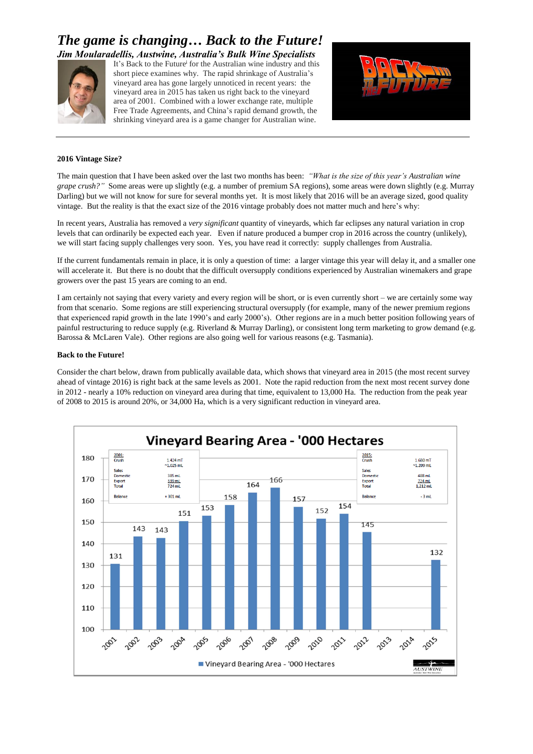# *The game is changing… Back to the Future! Jim Moularadellis, Austwine, Australia's Bulk Wine Specialists*



It's Back to the Future<sup>i</sup> for the Australian wine industry and this short piece examines why. The rapid shrinkage of Australia's vineyard area has gone largely unnoticed in recent years: the vineyard area in 2015 has taken us right back to the vineyard area of 2001. Combined with a lower exchange rate, multiple Free Trade Agreements, and China's rapid demand growth, the shrinking vineyard area is a game changer for Australian wine.



### **2016 Vintage Size?**

The main question that I have been asked over the last two months has been: *"What is the size of this year's Australian wine grape crush?"* Some areas were up slightly (e.g. a number of premium SA regions), some areas were down slightly (e.g. Murray Darling) but we will not know for sure for several months yet. It is most likely that 2016 will be an average sized, good quality vintage. But the reality is that the exact size of the 2016 vintage probably does not matter much and here's why:

In recent years, Australia has removed a *very significant* quantity of vineyards, which far eclipses any natural variation in crop levels that can ordinarily be expected each year. Even if nature produced a bumper crop in 2016 across the country (unlikely), we will start facing supply challenges very soon. Yes, you have read it correctly: supply challenges from Australia.

If the current fundamentals remain in place, it is only a question of time: a larger vintage this year will delay it, and a smaller one will accelerate it. But there is no doubt that the difficult oversupply conditions experienced by Australian winemakers and grape growers over the past 15 years are coming to an end.

I am certainly not saying that every variety and every region will be short, or is even currently short – we are certainly some way from that scenario. Some regions are still experiencing structural oversupply (for example, many of the newer premium regions that experienced rapid growth in the late 1990's and early 2000's). Other regions are in a much better position following years of painful restructuring to reduce supply (e.g. Riverland & Murray Darling), or consistent long term marketing to grow demand (e.g. Barossa & McLaren Vale). Other regions are also going well for various reasons (e.g. Tasmania).

### **Back to the Future!**

Consider the chart below, drawn from publically available data, which shows that vineyard area in 2015 (the most recent survey ahead of vintage 2016) is right back at the same levels as 2001. Note the rapid reduction from the next most recent survey done in 2012 - nearly a 10% reduction on vineyard area during that time, equivalent to 13,000 Ha. The reduction from the peak year of 2008 to 2015 is around 20%, or 34,000 Ha, which is a very significant reduction in vineyard area.

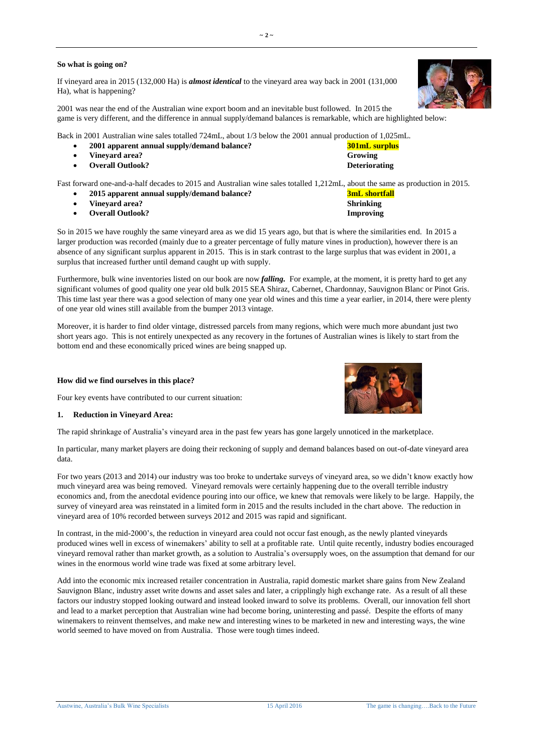### **So what is going on?**

If vineyard area in 2015 (132,000 Ha) is *almost identical* to the vineyard area way back in 2001 (131,000 Ha), what is happening?

2001 was near the end of the Australian wine export boom and an inevitable bust followed. In 2015 the game is very different, and the difference in annual supply/demand balances is remarkable, which are highlighted below:

Back in 2001 Australian wine sales totalled 724mL, about 1/3 below the 2001 annual production of 1,025mL.

- **2001 apparent annual supply/demand balance? 301mL surplus**
- **Vineyard area? Growing**
- **•** Overall Outlook? **Deteriorating**

Fast forward one-and-a-half decades to 2015 and Australian wine sales totalled 1,212mL, about the same as production in 2015.

- **2015 apparent annual supply/demand balance? 3mL shortfall**
- **Vineyard area? Shrinking**
- **Overall Outlook? Improving**

So in 2015 we have roughly the same vineyard area as we did 15 years ago, but that is where the similarities end. In 2015 a larger production was recorded (mainly due to a greater percentage of fully mature vines in production), however there is an absence of any significant surplus apparent in 2015. This is in stark contrast to the large surplus that was evident in 2001, a surplus that increased further until demand caught up with supply.

Furthermore, bulk wine inventories listed on our book are now *falling.* For example, at the moment, it is pretty hard to get any significant volumes of good quality one year old bulk 2015 SEA Shiraz, Cabernet, Chardonnay, Sauvignon Blanc or Pinot Gris. This time last year there was a good selection of many one year old wines and this time a year earlier, in 2014, there were plenty of one year old wines still available from the bumper 2013 vintage.

Moreover, it is harder to find older vintage, distressed parcels from many regions, which were much more abundant just two short years ago. This is not entirely unexpected as any recovery in the fortunes of Australian wines is likely to start from the bottom end and these economically priced wines are being snapped up.

### **How did we find ourselves in this place?**

Four key events have contributed to our current situation:

#### **1. Reduction in Vineyard Area:**

The rapid shrinkage of Australia's vineyard area in the past few years has gone largely unnoticed in the marketplace.

In particular, many market players are doing their reckoning of supply and demand balances based on out-of-date vineyard area data.

For two years (2013 and 2014) our industry was too broke to undertake surveys of vineyard area, so we didn't know exactly how much vineyard area was being removed. Vineyard removals were certainly happening due to the overall terrible industry economics and, from the anecdotal evidence pouring into our office, we knew that removals were likely to be large. Happily, the survey of vineyard area was reinstated in a limited form in 2015 and the results included in the chart above. The reduction in vineyard area of 10% recorded between surveys 2012 and 2015 was rapid and significant.

In contrast, in the mid-2000's, the reduction in vineyard area could not occur fast enough, as the newly planted vineyards produced wines well in excess of winemakers' ability to sell at a profitable rate. Until quite recently, industry bodies encouraged vineyard removal rather than market growth, as a solution to Australia's oversupply woes, on the assumption that demand for our wines in the enormous world wine trade was fixed at some arbitrary level.

Add into the economic mix increased retailer concentration in Australia, rapid domestic market share gains from New Zealand Sauvignon Blanc, industry asset write downs and asset sales and later, a cripplingly high exchange rate. As a result of all these factors our industry stopped looking outward and instead looked inward to solve its problems. Overall, our innovation fell short and lead to a market perception that Australian wine had become boring, uninteresting and passé. Despite the efforts of many winemakers to reinvent themselves, and make new and interesting wines to be marketed in new and interesting ways, the wine world seemed to have moved on from Australia. Those were tough times indeed.





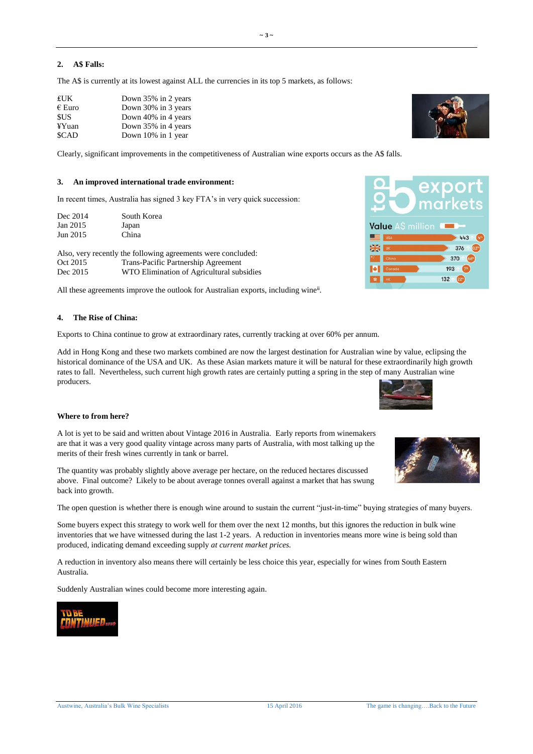## **2. A\$ Falls:**

The A\$ is currently at its lowest against ALL the currencies in its top 5 markets, as follows:

| £UK             | Down 35% in 2 years |
|-----------------|---------------------|
| $\epsilon$ Euro | Down 30% in 3 years |
| <b>SUS</b>      | Down 40% in 4 years |
| ¥Yuan           | Down 35% in 4 years |
| <b>SCAD</b>     | Down 10% in 1 year  |

Clearly, significant improvements in the competitiveness of Australian wine exports occurs as the A\$ falls.

 $-3$   $-$ 

## **3. An improved international trade environment:**

In recent times, Australia has signed 3 key FTA's in very quick succession:

| South Korea |
|-------------|
| Japan       |
| China       |
|             |

Also, very recently the following agreements were concluded:<br>Oct 2015 Trans-Pacific Partnership Agreement Oct 2015 Trans-Pacific Partnership Agreement<br>Dec 2015 WTO Elimination of Agricultural sub WTO Elimination of Agricultural subsidies

All these agreements improve the outlook for Australian exports, including wine<sup>ii</sup>.

## **4. The Rise of China:**

Exports to China continue to grow at extraordinary rates, currently tracking at over 60% per annum.

Add in Hong Kong and these two markets combined are now the largest destination for Australian wine by value, eclipsing the historical dominance of the USA and UK. As these Asian markets mature it will be natural for these extraordinarily high growth rates to fall. Nevertheless, such current high growth rates are certainly putting a spring in the step of many Australian wine producers.

### **Where to from here?**

A lot is yet to be said and written about Vintage 2016 in Australia. Early reports from winemakers are that it was a very good quality vintage across many parts of Australia, with most talking up the merits of their fresh wines currently in tank or barrel.

The quantity was probably slightly above average per hectare, on the reduced hectares discussed above. Final outcome? Likely to be about average tonnes overall against a market that has swung back into growth.

The open question is whether there is enough wine around to sustain the current "just-in-time" buying strategies of many buyers.

Some buyers expect this strategy to work well for them over the next 12 months, but this ignores the reduction in bulk wine inventories that we have witnessed during the last 1-2 years. A reduction in inventories means more wine is being sold than produced, indicating demand exceeding supply *at current market prices.* 

A reduction in inventory also means there will certainly be less choice this year, especially for wines from South Eastern Australia.

Suddenly Australian wines could become more interesting again.